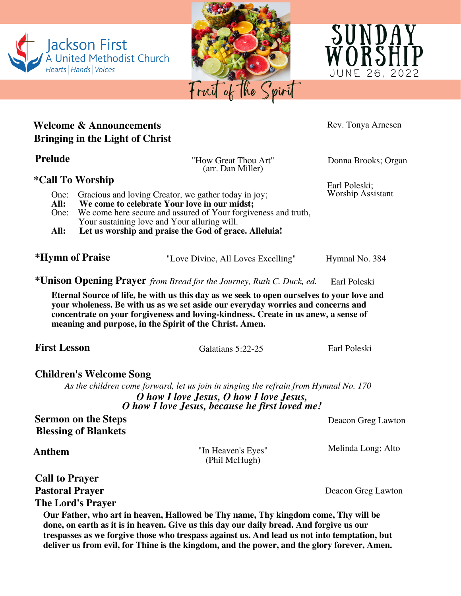

**Eternal Source of life, be with us this day as we seek to open ourselves to your love and your wholeness. Be with us as we set aside our everyday worries and concerns and concentrate on your forgiveness and loving-kindness. Create in us anew, a sense of meaning and purpose, in the Spirit of the Christ. Amen.**

**Children's Welcome Song**

*As the children come forward, let us join in singing the refrain from Hymnal No. 170 O how I love Jesus, O how I love Jesus, O how I love Jesus, because he first loved me!*

**Sermon on the Steps** Deacon Greg Lawton **Blessing of Blankets**

**Anthem** "In Heaven's Eyes" (Phil McHugh)

Melinda Long; Alto

**Pastoral Prayer** Deacon Greg Lawton

**The Lord's Prayer**

**Call to Prayer**

**Our Father, who art in heaven, Hallowed be Thy name, Thy kingdom come, Thy will be done, on earth as it is in heaven. Give us this day our daily bread. And forgive us our trespasses as we forgive those who trespass against us. And lead us not into temptation, but deliver us from evil, for Thine is the kingdom, and the power, and the glory forever, Amen.**



A United Methodist Church

Jackson First

Hearts Hands Voices





Worship Assistant

**First Lesson** Galatians 5:22-25 Earl Poleski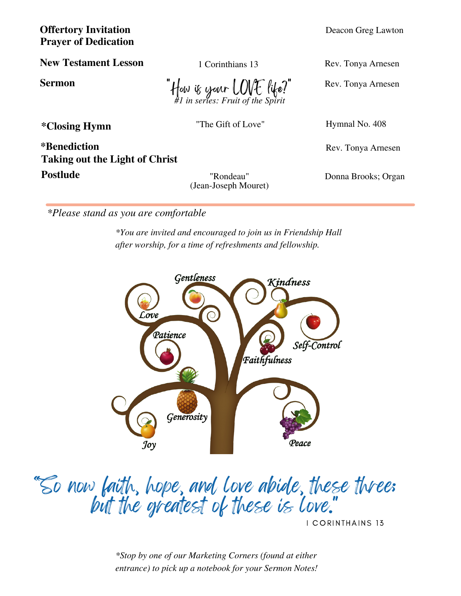**Prayer of Dedication Offertory Invitation** Deacon Greg Lawton

**New Testament Lesson**

How is your LOVE life! *#1 in series: Fruit of the Spirit*

\*Closing Hymn<br>
<sup>\*</sup>Closing Hymnal No. 408

**Postlude** "Rondeau" **\*Benediction Taking out the Light of Christ**

(Jean-Joseph Mouret)

Kindness

*\*Please stand as you are comfortable*

*\*You are invited and encouraged to join us in Friendship Hall after worship, for a time of refreshments and fellowship.*



I CORINTHAINS 13

*\*Stop by one of our Marketing Corners (found at either entrance) to pick up a notebook for your Sermon Notes!*

1 Corinthians 13 Rev. Tonya Arnesen

**Sermon**  $\iint_{\{\phi\}}$  is used  $\iint_{\mathcal{L}}$   $\iint_{\mathcal{L}}$   $\iint_{\mathcal{L}}$  Rev. Tonya Arnesen

Rev. Tonya Arnesen

Donna Brooks; Organ

Gentleness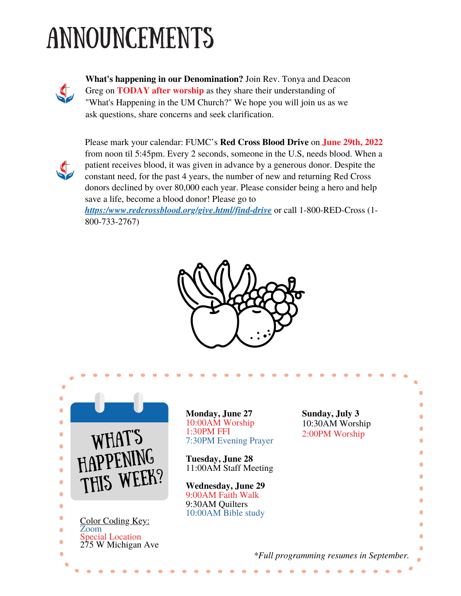## Announcements



**What's happening in our Denomination?** Join Rev. Tonya and Deacon Greg on **TODAY after worship** as they share their understanding of "What's Happening in the UM Church?" We hope you will join us as we ask questions, share concerns and seek clarification.



Please mark your calendar: FUMC's **Red Cross Blood Drive** on **June 29th, 2022** from noon til 5:45pm. Every 2 seconds, someone in the U.S, needs blood. When a patient receives blood, it was given in advance by a generous donor. Despite the constant need, for the past 4 years, the number of new and returning Red Cross donors declined by over 80,000 each year. Please consider being a hero and help save a life, become a blood donor! Please go to

*[https:/www.redcrossblood.org/give.html/find-drive](https://www.redcrossblood.org/give.html/find-drive)* or call 1-800-RED-Cross (1- 800-733-2767)